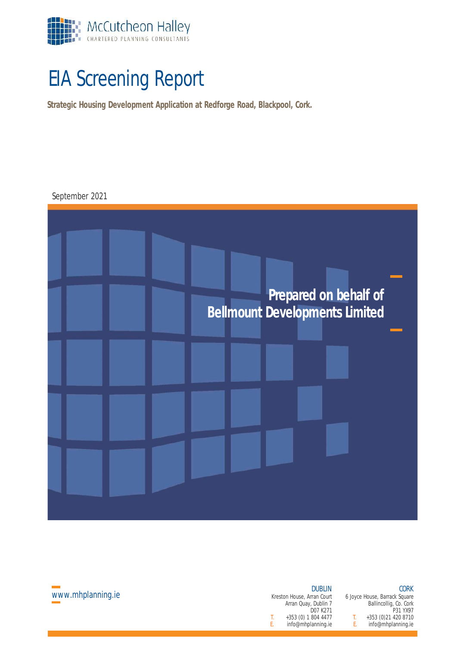

# EIA Screening Report

**Strategic Housing Development Application at Redforge Road, Blackpool, Cork.**



| <b>DUBLIN</b> |    | <b>CORK</b>                   |  |
|---------------|----|-------------------------------|--|
| rran Court    |    | 6 Joyce House, Barrack Square |  |
| . Dublin 7    |    | Ballincollig, Co. Cork        |  |
| D07 K271      |    | P31 YX97                      |  |
| 804 4477      | Τ. | +353 (0) 21 420 8710          |  |
| lanning.ie    | F. | info@mhplanning.ie            |  |

Kreston House, Arran Court Arran Quay, Dublin 7  $T.$  +353 (0) 1 804 4477<br>F info@mhplanning ie info@mhplanning.ie

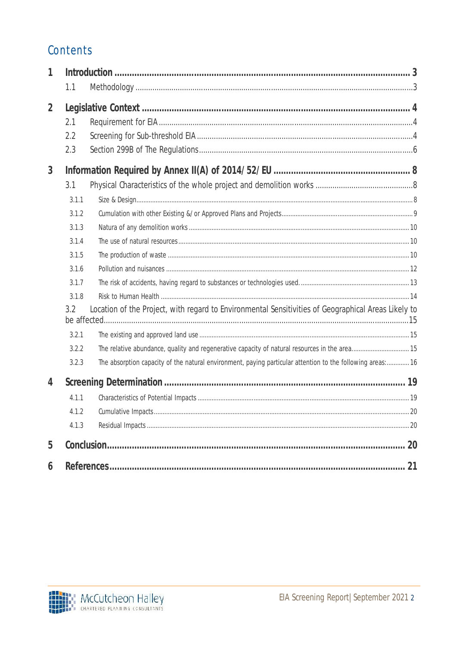# Contents

| 1              | 1.1                                                                |                                                                                                                                                                                                                                                                                                                    |    |
|----------------|--------------------------------------------------------------------|--------------------------------------------------------------------------------------------------------------------------------------------------------------------------------------------------------------------------------------------------------------------------------------------------------------------|----|
| $\overline{2}$ | 2.1<br>2.2<br>2.3                                                  |                                                                                                                                                                                                                                                                                                                    |    |
| 3              | 3.1<br>3.1.1<br>3.1.2<br>3.1.3<br>3.1.4<br>3.1.5<br>3.1.6<br>3.1.7 |                                                                                                                                                                                                                                                                                                                    |    |
|                | 3.1.8<br>3.2<br>3.2.1<br>3.2.2<br>3.2.3                            | Location of the Project, with regard to Environmental Sensitivities of Geographical Areas Likely to<br>The relative abundance, quality and regenerative capacity of natural resources in the area 15<br>The absorption capacity of the natural environment, paying particular attention to the following areas: 16 |    |
| 4              | 4.1.1<br>4.1.2<br>4.1.3                                            |                                                                                                                                                                                                                                                                                                                    |    |
| 5              |                                                                    |                                                                                                                                                                                                                                                                                                                    | 20 |
| 6              |                                                                    |                                                                                                                                                                                                                                                                                                                    | 21 |

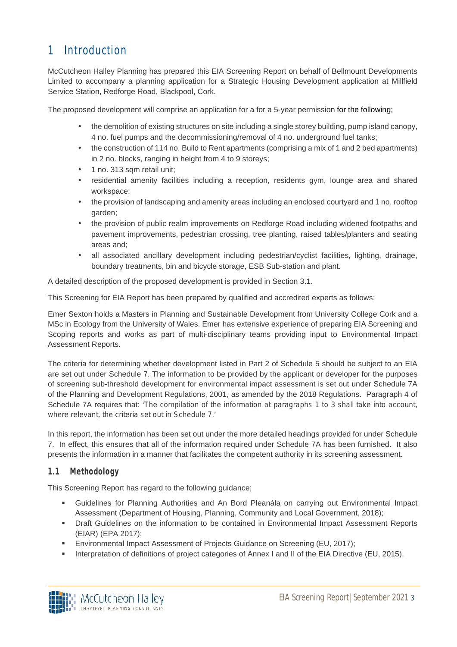# 1 Introduction

McCutcheon Halley Planning has prepared this EIA Screening Report on behalf of Bellmount Developments Limited to accompany a planning application for a Strategic Housing Development application at Millfield Service Station, Redforge Road, Blackpool, Cork.

The proposed development will comprise an application for a for a 5-year permission for the following;

- the demolition of existing structures on site including a single storey building, pump island canopy, 4 no. fuel pumps and the decommissioning/removal of 4 no. underground fuel tanks;
- the construction of 114 no. Build to Rent apartments (comprising a mix of 1 and 2 bed apartments) in 2 no. blocks, ranging in height from 4 to 9 storeys;
- 1 no. 313 sqm retail unit;
- residential amenity facilities including a reception, residents gym, lounge area and shared workspace;
- the provision of landscaping and amenity areas including an enclosed courtyard and 1 no. rooftop garden;
- the provision of public realm improvements on Redforge Road including widened footpaths and pavement improvements, pedestrian crossing, tree planting, raised tables/planters and seating areas and;
- all associated ancillary development including pedestrian/cyclist facilities, lighting, drainage, boundary treatments, bin and bicycle storage, ESB Sub-station and plant.

A detailed description of the proposed development is provided in Section 3.1.

This Screening for EIA Report has been prepared by qualified and accredited experts as follows;

Emer Sexton holds a Masters in Planning and Sustainable Development from University College Cork and a MSc in Ecology from the University of Wales. Emer has extensive experience of preparing EIA Screening and Scoping reports and works as part of multi-disciplinary teams providing input to Environmental Impact Assessment Reports.

The criteria for determining whether development listed in Part 2 of Schedule 5 should be subject to an EIA are set out under Schedule 7. The information to be provided by the applicant or developer for the purposes of screening sub-threshold development for environmental impact assessment is set out under Schedule 7A of the Planning and Development Regulations, 2001, as amended by the 2018 Regulations. Paragraph 4 of Schedule 7A requires that: '*The compilation of the information at paragraphs 1 to 3 shall take into account, where relevant, the criteria set out in Schedule 7*.'

In this report, the information has been set out under the more detailed headings provided for under Schedule 7. In effect, this ensures that all of the information required under Schedule 7A has been furnished. It also presents the information in a manner that facilitates the competent authority in its screening assessment.

#### **1.1 Methodology**

This Screening Report has regard to the following guidance;

- Guidelines for Planning Authorities and An Bord Pleanála on carrying out Environmental Impact Assessment (Department of Housing, Planning, Community and Local Government, 2018);
- **•** Draft Guidelines on the information to be contained in Environmental Impact Assessment Reports (EIAR) (EPA 2017);
- Environmental Impact Assessment of Projects Guidance on Screening (EU, 2017);
- Interpretation of definitions of project categories of Annex I and II of the EIA Directive (EU, 2015).

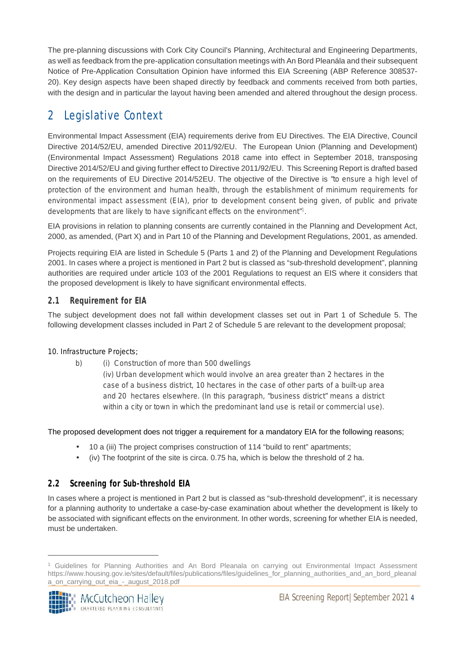The pre-planning discussions with Cork City Council's Planning, Architectural and Engineering Departments, as well as feedback from the pre-application consultation meetings with An Bord Pleanála and their subsequent Notice of Pre-Application Consultation Opinion have informed this EIA Screening (ABP Reference 308537- 20). Key design aspects have been shaped directly by feedback and comments received from both parties, with the design and in particular the layout having been amended and altered throughout the design process.

## 2 Legislative Context

Environmental Impact Assessment (EIA) requirements derive from EU Directives. The EIA Directive, Council Directive 2014/52/EU, amended Directive 2011/92/EU. The European Union (Planning and Development) (Environmental Impact Assessment) Regulations 2018 came into effect in September 2018, transposing Directive 2014/52/EU and giving further effect to Directive 2011/92/EU. This Screening Report is drafted based on the requirements of EU Directive 2014/52EU. The objective of the Directive is *"to ensure a high level of protection of the environment and human health, through the establishment of minimum requirements for environmental impact assessment (EIA), prior to development consent being given, of public and private developments that are likely to have significant effects on the environment"<sup>1</sup>* .

EIA provisions in relation to planning consents are currently contained in the Planning and Development Act, 2000, as amended, (Part X) and in Part 10 of the Planning and Development Regulations, 2001, as amended.

Projects requiring EIA are listed in Schedule 5 (Parts 1 and 2) of the Planning and Development Regulations 2001. In cases where a project is mentioned in Part 2 but is classed as "sub-threshold development", planning authorities are required under article 103 of the 2001 Regulations to request an EIS where it considers that the proposed development is likely to have significant environmental effects.

#### **2.1 Requirement for EIA**

The subject development does not fall within development classes set out in Part 1 of Schedule 5. The following development classes included in Part 2 of Schedule 5 are relevant to the development proposal;

#### *10. Infrastructure Projects;*

*b) (i) Construction of more than 500 dwellings*

*(iv) Urban development which would involve an area greater than 2 hectares in the case of a business district, 10 hectares in the case of other parts of a built-up area and 20 hectares elsewhere. (In this paragraph, "business district" means a district within a city or town in which the predominant land use is retail or commercial use).*

The proposed development does not trigger a requirement for a mandatory EIA for the following reasons;

- 10 a (iii) The project comprises construction of 114 "build to rent" apartments;
- $\int$  (iv) The footprint of the site is circa. 0.75 ha, which is below the threshold of 2 ha.

#### **2.2 Screening for Sub-threshold EIA**

In cases where a project is mentioned in Part 2 but is classed as "sub-threshold development", it is necessary for a planning authority to undertake a case-by-case examination about whether the development is likely to be associated with significant effects on the environment. In other words, screening for whether EIA is needed, must be undertaken.

<sup>&</sup>lt;sup>1</sup> Guidelines for Planning Authorities and An Bord Pleanala on carrying out Environmental Impact Assessment https://www.housing.gov.ie/sites/default/files/publications/files/guidelines\_for\_planning\_authorities\_and\_an\_bord\_pleanal a\_on\_carrying\_out\_eia\_-\_august\_2018.pdf

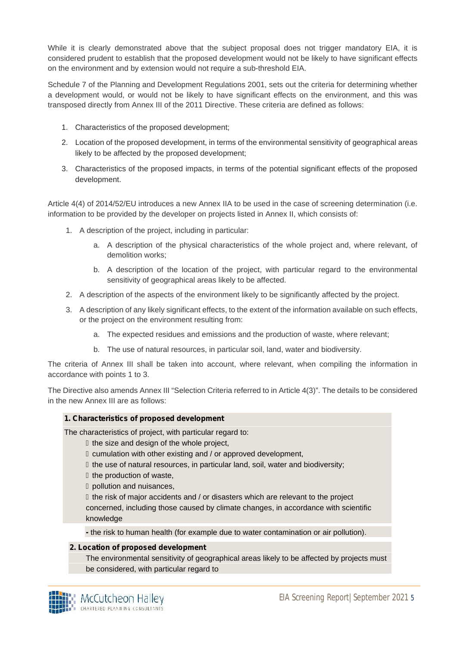While it is clearly demonstrated above that the subject proposal does not trigger mandatory EIA, it is considered prudent to establish that the proposed development would not be likely to have significant effects on the environment and by extension would not require a sub-threshold EIA.

Schedule 7 of the Planning and Development Regulations 2001, sets out the criteria for determining whether a development would, or would not be likely to have significant effects on the environment, and this was transposed directly from Annex III of the 2011 Directive. These criteria are defined as follows:

- 1. Characteristics of the proposed development;
- 2. Location of the proposed development, in terms of the environmental sensitivity of geographical areas likely to be affected by the proposed development;
- 3. Characteristics of the proposed impacts, in terms of the potential significant effects of the proposed development.

Article 4(4) of 2014/52/EU introduces a new Annex IIA to be used in the case of screening determination (i.e. information to be provided by the developer on projects listed in Annex II, which consists of:

- 1. A description of the project, including in particular:
	- a. A description of the physical characteristics of the whole project and, where relevant, of demolition works;
	- b. A description of the location of the project, with particular regard to the environmental sensitivity of geographical areas likely to be affected.
- 2. A description of the aspects of the environment likely to be significantly affected by the project.
- 3. A description of any likely significant effects, to the extent of the information available on such effects, or the project on the environment resulting from:
	- a. The expected residues and emissions and the production of waste, where relevant;
	- b. The use of natural resources, in particular soil, land, water and biodiversity.

The criteria of Annex III shall be taken into account, where relevant, when compiling the information in accordance with points 1 to 3.

The Directive also amends Annex III "Selection Criteria referred to in Article 4(3)". The details to be considered in the new Annex III are as follows:

#### **1. Characteristics of proposed development**

The characteristics of project, with particular regard to:

‒ the size and design of the whole project,

‒ cumulation with other existing and / or approved development,

the use of natural resources, in particular land, soil, water and biodiversity;

the production of waste,

‒ pollution and nuisances,

‒ the risk of major accidents and / or disasters which are relevant to the project

concerned, including those caused by climate changes, in accordance with scientific knowledge

**-** the risk to human health (for example due to water contamination or air pollution).

#### **2. Location of proposed development**

The environmental sensitivity of geographical areas likely to be affected by projects must be considered, with particular regard to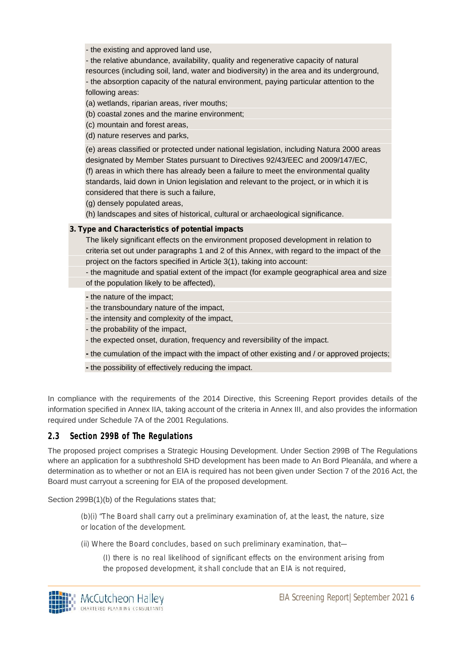- the existing and approved land use,

- the relative abundance, availability, quality and regenerative capacity of natural resources (including soil, land, water and biodiversity) in the area and its underground, - the absorption capacity of the natural environment, paying particular attention to the following areas:

(a) wetlands, riparian areas, river mouths;

(b) coastal zones and the marine environment;

(c) mountain and forest areas,

(d) nature reserves and parks,

(e) areas classified or protected under national legislation, including Natura 2000 areas designated by Member States pursuant to Directives 92/43/EEC and 2009/147/EC, (f) areas in which there has already been a failure to meet the environmental quality standards, laid down in Union legislation and relevant to the project, or in which it is considered that there is such a failure,

(g) densely populated areas,

(h) landscapes and sites of historical, cultural or archaeological significance.

#### **3. Type and Characteristics of potential impacts**

The likely significant effects on the environment proposed development in relation to criteria set out under paragraphs 1 and 2 of this Annex, with regard to the impact of the project on the factors specified in Article 3(1), taking into account:

- the magnitude and spatial extent of the impact (for example geographical area and size of the population likely to be affected),

**-** the nature of the impact;

- the transboundary nature of the impact,
- the intensity and complexity of the impact,
- the probability of the impact,
- the expected onset, duration, frequency and reversibility of the impact.
- **-** the cumulation of the impact with the impact of other existing and / or approved projects;
- **-** the possibility of effectively reducing the impact.

In compliance with the requirements of the 2014 Directive, this Screening Report provides details of the information specified in Annex IIA, taking account of the criteria in Annex III, and also provides the information required under Schedule 7A of the 2001 Regulations.

#### **2.3 Section 299B of The Regulations**

The proposed project comprises a Strategic Housing Development. Under Section 299B of The Regulations where an application for a subthreshold SHD development has been made to An Bord Pleanála, and where a determination as to whether or not an EIA is required has not been given under Section 7 of the 2016 Act, the Board must carryout a screening for EIA of the proposed development.

Section 299B(1)(b) of the Regulations states that;

*(b)(i) "The Board shall carry out a preliminary examination of, at the least, the nature, size or location of the development.*

*(ii) Where the Board concludes, based on such preliminary examination, that—*

*(I) there is no real likelihood of significant effects on the environment arising from the proposed development, it shall conclude that an EIA is not required,*

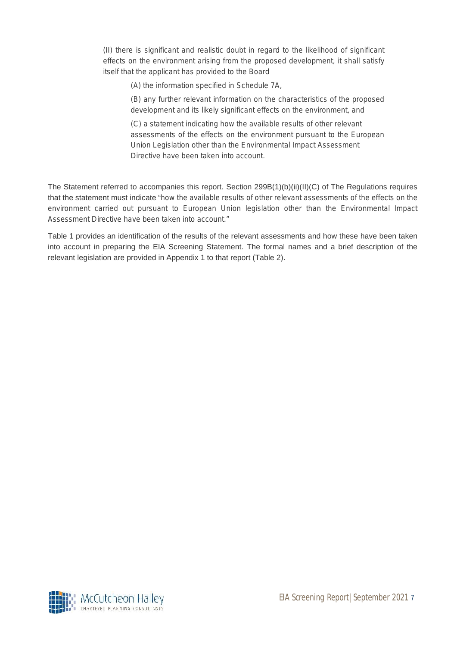*(II) there is significant and realistic doubt in regard to the likelihood of significant effects on the environment arising from the proposed development, it shall satisfy itself that the applicant has provided to the Board*

*(A) the information specified in Schedule 7A,*

*(B) any further relevant information on the characteristics of the proposed development and its likely significant effects on the environment, and*

*(C) a statement indicating how the available results of other relevant assessments of the effects on the environment pursuant to the European Union Legislation other than the Environmental Impact Assessment Directive have been taken into account.*

The Statement referred to accompanies this report. Section 299B(1)(b)(ii)(II)(C) of The Regulations requires that the statement must indicate "*how the available results of other relevant assessments of the effects on the environment carried out pursuant to European Union legislation other than the Environmental Impact Assessment Directive have been taken into account."*

Table 1 provides an identification of the results of the relevant assessments and how these have been taken into account in preparing the EIA Screening Statement. The formal names and a brief description of the relevant legislation are provided in Appendix 1 to that report (Table 2).

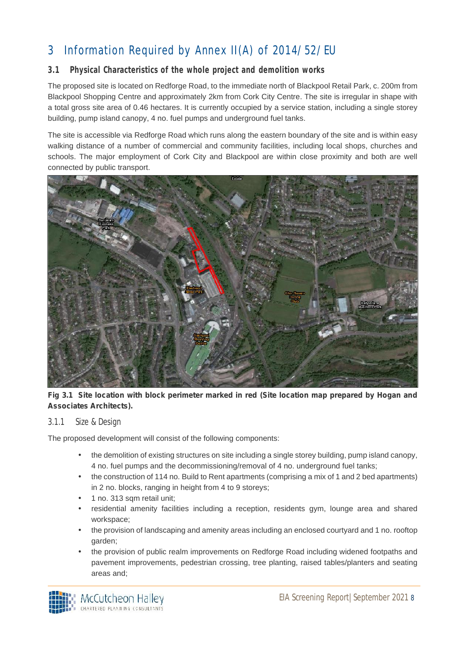# 3 Information Required by Annex II(A) of 2014/52/EU

#### **3.1 Physical Characteristics of the whole project and demolition works**

The proposed site is located on Redforge Road, to the immediate north of Blackpool Retail Park, c. 200m from Blackpool Shopping Centre and approximately 2km from Cork City Centre. The site is irregular in shape with a total gross site area of 0.46 hectares. It is currently occupied by a service station, including a single storey building, pump island canopy, 4 no. fuel pumps and underground fuel tanks.

The site is accessible via Redforge Road which runs along the eastern boundary of the site and is within easy walking distance of a number of commercial and community facilities, including local shops, churches and schools. The major employment of Cork City and Blackpool are within close proximity and both are well connected by public transport.



**Fig 3.1 Site location with block perimeter marked in red (Site location map prepared by Hogan and Associates Architects).**

#### 3.1.1 Size & Design

The proposed development will consist of the following components:

- the demolition of existing structures on site including a single storey building, pump island canopy, 4 no. fuel pumps and the decommissioning/removal of 4 no. underground fuel tanks;
- the construction of 114 no. Build to Rent apartments (comprising a mix of 1 and 2 bed apartments) in 2 no. blocks, ranging in height from 4 to 9 storeys;
- 1 no. 313 sam retail unit:
- residential amenity facilities including a reception, residents gym, lounge area and shared workspace;
- the provision of landscaping and amenity areas including an enclosed courtyard and 1 no. rooftop garden;
- the provision of public realm improvements on Redforge Road including widened footpaths and pavement improvements, pedestrian crossing, tree planting, raised tables/planters and seating areas and;

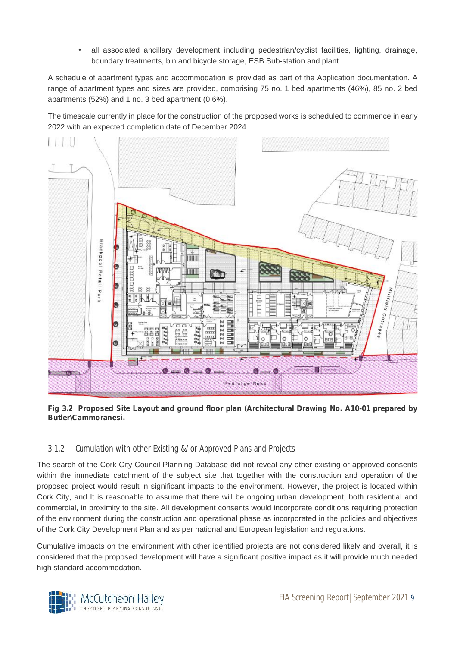all associated ancillary development including pedestrian/cyclist facilities, lighting, drainage, boundary treatments, bin and bicycle storage, ESB Sub-station and plant.

A schedule of apartment types and accommodation is provided as part of the Application documentation. A range of apartment types and sizes are provided, comprising 75 no. 1 bed apartments (46%), 85 no. 2 bed apartments (52%) and 1 no. 3 bed apartment (0.6%).

The timescale currently in place for the construction of the proposed works is scheduled to commence in early 2022 with an expected completion date of December 2024.



**Fig 3.2 Proposed Site Layout and ground floor plan (Architectural Drawing No. A10-01 prepared by Butler\Cammoranesi.**

#### 3.1.2 Cumulation with other Existing &/or Approved Plans and Projects

The search of the Cork City Council Planning Database did not reveal any other existing or approved consents within the immediate catchment of the subject site that together with the construction and operation of the proposed project would result in significant impacts to the environment. However, the project is located within Cork City, and It is reasonable to assume that there will be ongoing urban development, both residential and commercial, in proximity to the site. All development consents would incorporate conditions requiring protection of the environment during the construction and operational phase as incorporated in the policies and objectives of the Cork City Development Plan and as per national and European legislation and regulations.

Cumulative impacts on the environment with other identified projects are not considered likely and overall, it is considered that the proposed development will have a significant positive impact as it will provide much needed high standard accommodation.

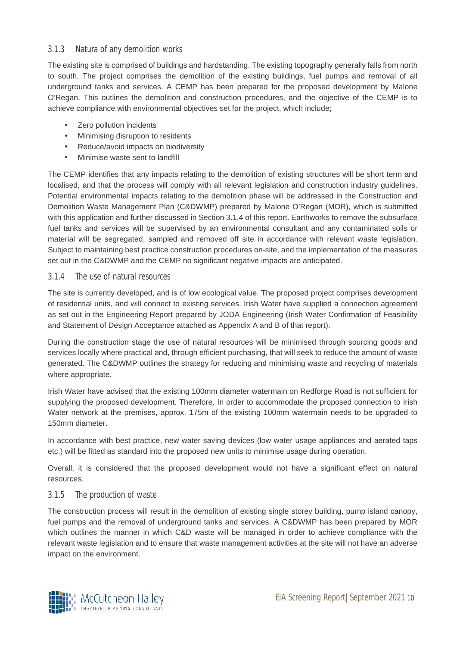#### 3.1.3 Natura of any demolition works

The existing site is comprised of buildings and hardstanding. The existing topography generally falls from north to south. The project comprises the demolition of the existing buildings, fuel pumps and removal of all underground tanks and services. A CEMP has been prepared for the proposed development by Malone O'Regan. This outlines the demolition and construction procedures, and the objective of the CEMP is to achieve compliance with environmental objectives set for the project, which include;

- Zero pollution incidents
- Minimising disruption to residents
- Reduce/avoid impacts on biodiversity
- Minimise waste sent to landfill

The CEMP identifies that any impacts relating to the demolition of existing structures will be short term and localised, and that the process will comply with all relevant legislation and construction industry guidelines. Potential environmental impacts relating to the demolition phase will be addressed in the Construction and Demolition Waste Management Plan (C&DWMP) prepared by Malone O'Regan (MOR), which is submitted with this application and further discussed in Section 3.1.4 of this report. Earthworks to remove the subsurface fuel tanks and services will be supervised by an environmental consultant and any contaminated soils or material will be segregated, sampled and removed off site in accordance with relevant waste legislation. Subject to maintaining best practice construction procedures on-site, and the implementation of the measures set out in the C&DWMP and the CEMP no significant negative impacts are anticipated.

#### 3.1.4 The use of natural resources

The site is currently developed, and is of low ecological value. The proposed project comprises development of residential units, and will connect to existing services. Irish Water have supplied a connection agreement as set out in the Engineering Report prepared by JODA Engineering (Irish Water Confirmation of Feasibility and Statement of Design Acceptance attached as Appendix A and B of that report).

During the construction stage the use of natural resources will be minimised through sourcing goods and services locally where practical and, through efficient purchasing, that will seek to reduce the amount of waste generated. The C&DWMP outlines the strategy for reducing and minimising waste and recycling of materials where appropriate.

Irish Water have advised that the existing 100mm diameter watermain on Redforge Road is not sufficient for supplying the proposed development. Therefore, In order to accommodate the proposed connection to Irish Water network at the premises, approx. 175m of the existing 100mm watermain needs to be upgraded to 150mm diameter.

In accordance with best practice, new water saving devices (low water usage appliances and aerated taps etc.) will be fitted as standard into the proposed new units to minimise usage during operation.

Overall, it is considered that the proposed development would not have a significant effect on natural resources.

#### 3.1.5 The production of waste

The construction process will result in the demolition of existing single storey building, pump island canopy, fuel pumps and the removal of underground tanks and services. A C&DWMP has been prepared by MOR which outlines the manner in which C&D waste will be managed in order to achieve compliance with the relevant waste legislation and to ensure that waste management activities at the site will not have an adverse impact on the environment.

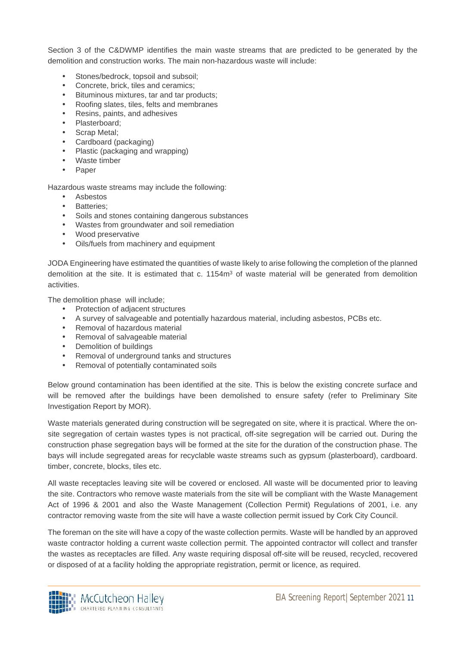Section 3 of the C&DWMP identifies the main waste streams that are predicted to be generated by the demolition and construction works. The main non-hazardous waste will include:

- Stones/bedrock, topsoil and subsoil;
- Concrete, brick, tiles and ceramics;
- Bituminous mixtures, tar and tar products;
- Roofing slates, tiles, felts and membranes
- Resins, paints, and adhesives
- Plasterboard;
- Scrap Metal;
- Cardboard (packaging)
- Plastic (packaging and wrapping)
- Waste timber
- Paper

Hazardous waste streams may include the following:

- Asbestos
- Batteries;
- Soils and stones containing dangerous substances
- Wastes from groundwater and soil remediation
- Wood preservative
- Oils/fuels from machinery and equipment

JODA Engineering have estimated the quantities of waste likely to arise following the completion of the planned demolition at the site. It is estimated that c.  $1154m<sup>3</sup>$  of waste material will be generated from demolition activities.

The demolition phase will include;

- Protection of adjacent structures
- A survey of salvageable and potentially hazardous material, including asbestos, PCBs etc.
- Removal of hazardous material
- Removal of salvageable material
- Demolition of buildings
- Removal of underground tanks and structures
- Removal of potentially contaminated soils

Below ground contamination has been identified at the site. This is below the existing concrete surface and will be removed after the buildings have been demolished to ensure safety (refer to Preliminary Site Investigation Report by MOR).

Waste materials generated during construction will be segregated on site, where it is practical. Where the on site segregation of certain wastes types is not practical, off-site segregation will be carried out. During the construction phase segregation bays will be formed at the site for the duration of the construction phase. The bays will include segregated areas for recyclable waste streams such as gypsum (plasterboard), cardboard. timber, concrete, blocks, tiles etc.

All waste receptacles leaving site will be covered or enclosed. All waste will be documented prior to leaving the site. Contractors who remove waste materials from the site will be compliant with the Waste Management Act of 1996 & 2001 and also the Waste Management (Collection Permit) Regulations of 2001, i.e. any contractor removing waste from the site will have a waste collection permit issued by Cork City Council.

The foreman on the site will have a copy of the waste collection permits. Waste will be handled by an approved waste contractor holding a current waste collection permit. The appointed contractor will collect and transfer the wastes as receptacles are filled. Any waste requiring disposal off-site will be reused, recycled, recovered or disposed of at a facility holding the appropriate registration, permit or licence, as required.

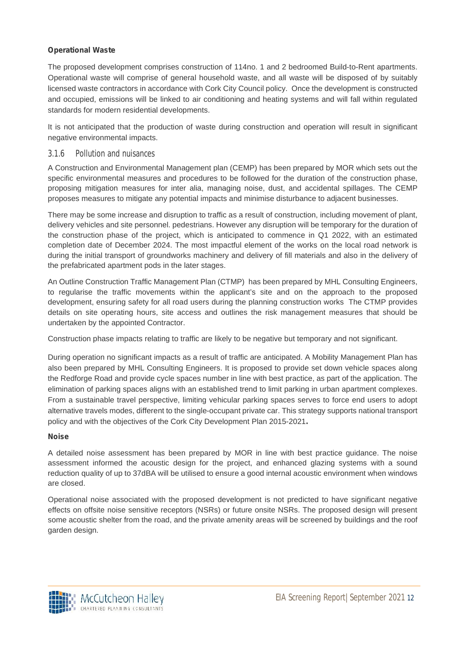#### **Operational Waste**

The proposed development comprises construction of 114no. 1 and 2 bedroomed Build-to-Rent apartments. Operational waste will comprise of general household waste, and all waste will be disposed of by suitably licensed waste contractors in accordance with Cork City Council policy. Once the development is constructed and occupied, emissions will be linked to air conditioning and heating systems and will fall within regulated standards for modern residential developments.

It is not anticipated that the production of waste during construction and operation will result in significant negative environmental impacts.

#### 3.1.6 Pollution and nuisances

A Construction and Environmental Management plan (CEMP) has been prepared by MOR which sets out the specific environmental measures and procedures to be followed for the duration of the construction phase, proposing mitigation measures for inter alia, managing noise, dust, and accidental spillages. The CEMP proposes measures to mitigate any potential impacts and minimise disturbance to adjacent businesses.

There may be some increase and disruption to traffic as a result of construction, including movement of plant, delivery vehicles and site personnel. pedestrians. However any disruption will be temporary for the duration of the construction phase of the project, which is anticipated to commence in Q1 2022, with an estimated completion date of December 2024. The most impactful element of the works on the local road network is during the initial transport of groundworks machinery and delivery of fill materials and also in the delivery of the prefabricated apartment pods in the later stages.

An Outline Construction Traffic Management Plan (CTMP) has been prepared by MHL Consulting Engineers, to regularise the traffic movements within the applicant's site and on the approach to the proposed development, ensuring safety for all road users during the planning construction works The CTMP provides details on site operating hours, site access and outlines the risk management measures that should be undertaken by the appointed Contractor.

Construction phase impacts relating to traffic are likely to be negative but temporary and not significant.

During operation no significant impacts as a result of traffic are anticipated. A Mobility Management Plan has also been prepared by MHL Consulting Engineers. It is proposed to provide set down vehicle spaces along the Redforge Road and provide cycle spaces number in line with best practice, as part of the application. The elimination of parking spaces aligns with an established trend to limit parking in urban apartment complexes. From a sustainable travel perspective, limiting vehicular parking spaces serves to force end users to adopt alternative travels modes, different to the single-occupant private car. This strategy supports national transport policy and with the objectives of the Cork City Development Plan 2015-2021**.**

#### **Noise**

A detailed noise assessment has been prepared by MOR in line with best practice guidance. The noise assessment informed the acoustic design for the project, and enhanced glazing systems with a sound reduction quality of up to 37dBA will be utilised to ensure a good internal acoustic environment when windows are closed.

Operational noise associated with the proposed development is not predicted to have significant negative effects on offsite noise sensitive receptors (NSRs) or future onsite NSRs. The proposed design will present some acoustic shelter from the road, and the private amenity areas will be screened by buildings and the roof garden design.

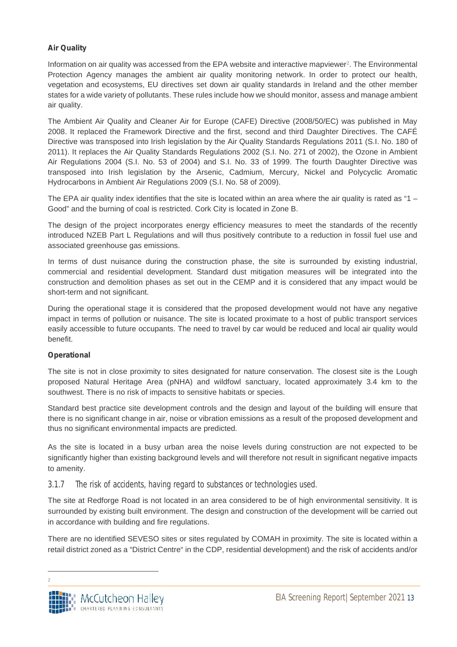#### **Air Quality**

Information on air quality was accessed from the EPA website and interactive mapviewer<sup>2</sup>. The Environmental Protection Agency manages the ambient air quality monitoring network. In order to protect our health, vegetation and ecosystems, EU directives set down air quality standards in Ireland and the other member states for a wide variety of pollutants. These rules include how we should monitor, assess and manage ambient air quality.

The Ambient Air Quality and Cleaner Air for Europe (CAFE) Directive (2008/50/EC) was published in May 2008. It replaced the Framework Directive and the first, second and third Daughter Directives. The CAFÉ Directive was transposed into Irish legislation by the Air Quality Standards Regulations 2011 (S.I. No. 180 of 2011). It replaces the Air Quality Standards Regulations 2002 (S.I. No. 271 of 2002), the Ozone in Ambient Air Regulations 2004 (S.I. No. 53 of 2004) and S.I. No. 33 of 1999. The fourth Daughter Directive was transposed into Irish legislation by the Arsenic, Cadmium, Mercury, Nickel and Polycyclic Aromatic Hydrocarbons in Ambient Air Regulations 2009 (S.I. No. 58 of 2009).

The EPA air quality index identifies that the site is located within an area where the air quality is rated as "1 – Good" and the burning of coal is restricted. Cork City is located in Zone B.

The design of the project incorporates energy efficiency measures to meet the standards of the recently introduced NZEB Part L Regulations and will thus positively contribute to a reduction in fossil fuel use and associated greenhouse gas emissions.

In terms of dust nuisance during the construction phase, the site is surrounded by existing industrial, commercial and residential development. Standard dust mitigation measures will be integrated into the construction and demolition phases as set out in the CEMP and it is considered that any impact would be short-term and not significant.

During the operational stage it is considered that the proposed development would not have any negative impact in terms of pollution or nuisance. The site is located proximate to a host of public transport services easily accessible to future occupants. The need to travel by car would be reduced and local air quality would benefit.

#### **Operational**

The site is not in close proximity to sites designated for nature conservation. The closest site is the Lough proposed Natural Heritage Area (pNHA) and wildfowl sanctuary, located approximately 3.4 km to the southwest. There is no risk of impacts to sensitive habitats or species.

Standard best practice site development controls and the design and layout of the building will ensure that there is no significant change in air, noise or vibration emissions as a result of the proposed development and thus no significant environmental impacts are predicted.

As the site is located in a busy urban area the noise levels during construction are not expected to be significantly higher than existing background levels and will therefore not result in significant negative impacts to amenity.

3.1.7 The risk of accidents, having regard to substances or technologies used.

The site at Redforge Road is not located in an area considered to be of high environmental sensitivity. It is surrounded by existing built environment. The design and construction of the development will be carried out in accordance with building and fire regulations.

There are no identified SEVESO sites or sites regulated by COMAH in proximity. The site is located within a retail district zoned as a "District Centre" in the CDP, residential development) and the risk of accidents and/or

<sup>2</sup>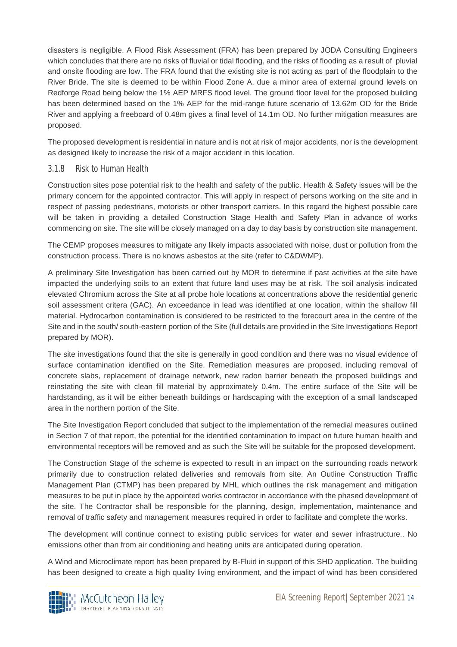disasters is negligible. A Flood Risk Assessment (FRA) has been prepared by JODA Consulting Engineers which concludes that there are no risks of fluvial or tidal flooding, and the risks of flooding as a result of pluvial and onsite flooding are low. The FRA found that the existing site is not acting as part of the floodplain to the River Bride. The site is deemed to be within Flood Zone A, due a minor area of external ground levels on Redforge Road being below the 1% AEP MRFS flood level. The ground floor level for the proposed building has been determined based on the 1% AEP for the mid-range future scenario of 13.62m OD for the Bride River and applying a freeboard of 0.48m gives a final level of 14.1m OD. No further mitigation measures are proposed.

The proposed development is residential in nature and is not at risk of major accidents, nor is the development as designed likely to increase the risk of a major accident in this location.

#### 3.1.8 Risk to Human Health

Construction sites pose potential risk to the health and safety of the public. Health & Safety issues will be the primary concern for the appointed contractor. This will apply in respect of persons working on the site and in respect of passing pedestrians, motorists or other transport carriers. In this regard the highest possible care will be taken in providing a detailed Construction Stage Health and Safety Plan in advance of works commencing on site. The site will be closely managed on a day to day basis by construction site management.

The CEMP proposes measures to mitigate any likely impacts associated with noise, dust or pollution from the construction process. There is no knows asbestos at the site (refer to C&DWMP).

A preliminary Site Investigation has been carried out by MOR to determine if past activities at the site have impacted the underlying soils to an extent that future land uses may be at risk. The soil analysis indicated elevated Chromium across the Site at all probe hole locations at concentrations above the residential generic soil assessment critera (GAC). An exceedance in lead was identified at one location, within the shallow fill material. Hydrocarbon contamination is considered to be restricted to the forecourt area in the centre of the Site and in the south/ south-eastern portion of the Site (full details are provided in the Site Investigations Report prepared by MOR).

The site investigations found that the site is generally in good condition and there was no visual evidence of surface contamination identified on the Site. Remediation measures are proposed, including removal of concrete slabs, replacement of drainage network, new radon barrier beneath the proposed buildings and reinstating the site with clean fill material by approximately 0.4m. The entire surface of the Site will be hardstanding, as it will be either beneath buildings or hardscaping with the exception of a small landscaped area in the northern portion of the Site.

The Site Investigation Report concluded that subject to the implementation of the remedial measures outlined in Section 7 of that report, the potential for the identified contamination to impact on future human health and environmental receptors will be removed and as such the Site will be suitable for the proposed development.

The Construction Stage of the scheme is expected to result in an impact on the surrounding roads network primarily due to construction related deliveries and removals from site. An Outline Construction Traffic Management Plan (CTMP) has been prepared by MHL which outlines the risk management and mitigation measures to be put in place by the appointed works contractor in accordance with the phased development of the site. The Contractor shall be responsible for the planning, design, implementation, maintenance and removal of traffic safety and management measures required in order to facilitate and complete the works.

The development will continue connect to existing public services for water and sewer infrastructure.. No emissions other than from air conditioning and heating units are anticipated during operation.

A Wind and Microclimate report has been prepared by B-Fluid in support of this SHD application. The building has been designed to create a high quality living environment, and the impact of wind has been considered

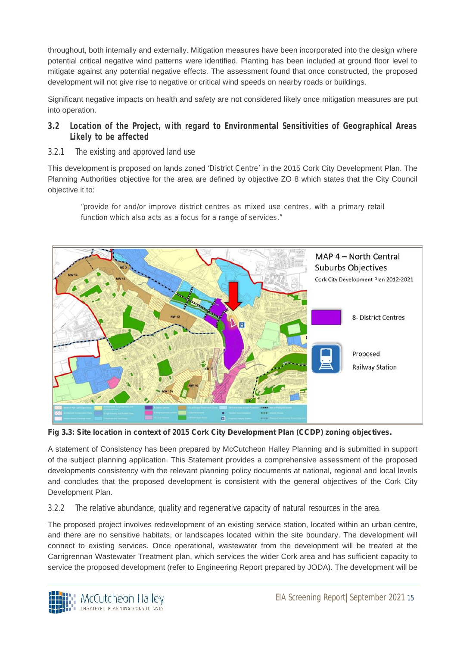throughout, both internally and externally. Mitigation measures have been incorporated into the design where potential critical negative wind patterns were identified. Planting has been included at ground floor level to mitigate against any potential negative effects. The assessment found that once constructed, the proposed development will not give rise to negative or critical wind speeds on nearby roads or buildings.

Significant negative impacts on health and safety are not considered likely once mitigation measures are put into operation.

- **3.2 Location of the Project, with regard to Environmental Sensitivities of Geographical Areas Likely to be affected**
- 3.2.1 The existing and approved land use

This development is proposed on lands zoned *'District Centre'* in the 2015 Cork City Development Plan. The Planning Authorities objective for the area are defined by objective ZO 8 which states that the City Council objective it to:

*"provide for and/or improve district centres as mixed use centres, with a primary retail function which also acts as a focus for a range of services."*



**Fig 3.3: Site location in context of 2015 Cork City Development Plan (CCDP) zoning objectives.**

A statement of Consistency has been prepared by McCutcheon Halley Planning and is submitted in support of the subject planning application. This Statement provides a comprehensive assessment of the proposed developments consistency with the relevant planning policy documents at national, regional and local levels and concludes that the proposed development is consistent with the general objectives of the Cork City Development Plan.

3.2.2 The relative abundance, quality and regenerative capacity of natural resources in the area.

The proposed project involves redevelopment of an existing service station, located within an urban centre, and there are no sensitive habitats, or landscapes located within the site boundary. The development will connect to existing services. Once operational, wastewater from the development will be treated at the Carrigrennan Wastewater Treatment plan, which services the wider Cork area and has sufficient capacity to service the proposed development (refer to Engineering Report prepared by JODA). The development will be

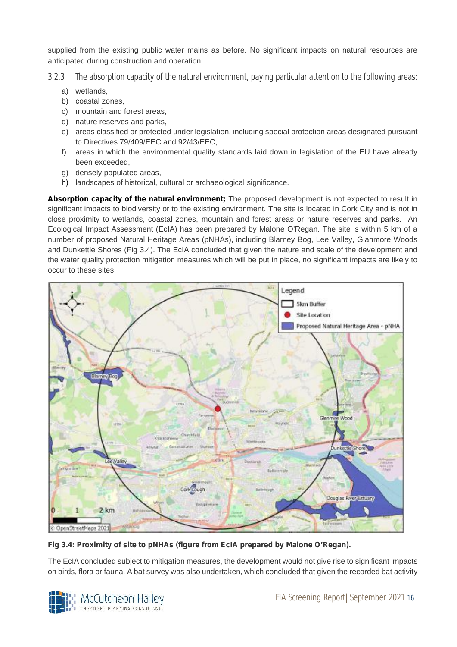supplied from the existing public water mains as before. No significant impacts on natural resources are anticipated during construction and operation.

- 3.2.3 The absorption capacity of the natural environment, paying particular attention to the following areas:
	- a) wetlands,
	- b) coastal zones,
	- c) mountain and forest areas,
	- d) nature reserves and parks,
	- e) areas classified or protected under legislation, including special protection areas designated pursuant to Directives 79/409/EEC and 92/43/EEC,
	- f) areas in which the environmental quality standards laid down in legislation of the EU have already been exceeded,
	- g) densely populated areas,
	- h) landscapes of historical, cultural or archaeological significance.

**Absorption capacity of the natural environment;** The proposed development is not expected to result in significant impacts to biodiversity or to the existing environment. The site is located in Cork City and is not in close proximity to wetlands, coastal zones, mountain and forest areas or nature reserves and parks. An Ecological Impact Assessment (EcIA) has been prepared by Malone O'Regan. The site is within 5 km of a number of proposed Natural Heritage Areas (pNHAs), including Blarney Bog, Lee Valley, Glanmore Woods and Dunkettle Shores (Fig 3.4). The EcIA concluded that given the nature and scale of the development and the water quality protection mitigation measures which will be put in place, no significant impacts are likely to occur to these sites.



**Fig 3.4: Proximity of site to pNHAs (figure from EcIA prepared by Malone O'Regan).**

The EcIA concluded subject to mitigation measures, the development would not give rise to significant impacts on birds, flora or fauna. A bat survey was also undertaken, which concluded that given the recorded bat activity

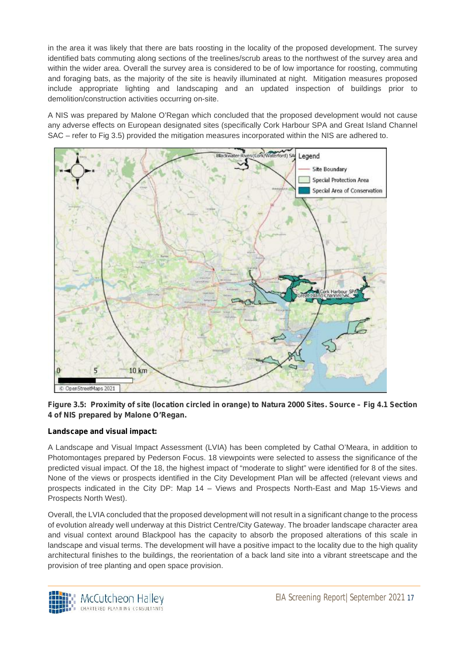in the area it was likely that there are bats roosting in the locality of the proposed development. The survey identified bats commuting along sections of the treelines/scrub areas to the northwest of the survey area and within the wider area. Overall the survey area is considered to be of low importance for roosting, commuting and foraging bats, as the majority of the site is heavily illuminated at night. Mitigation measures proposed include appropriate lighting and landscaping and an updated inspection of buildings prior to demolition/construction activities occurring on-site.

A NIS was prepared by Malone O'Regan which concluded that the proposed development would not cause any adverse effects on European designated sites (specifically Cork Harbour SPA and Great Island Channel SAC – refer to Fig 3.5) provided the mitigation measures incorporated within the NIS are adhered to.



**Figure 3.5: Proximity of site (location circled in orange) to Natura 2000 Sites. Source – Fig 4.1 Section 4 of NIS prepared by Malone O'Regan.**

#### **Landscape and visual impact:**

A Landscape and Visual Impact Assessment (LVIA) has been completed by Cathal O'Meara, in addition to Photomontages prepared by Pederson Focus. 18 viewpoints were selected to assess the significance of the predicted visual impact. Of the 18, the highest impact of "moderate to slight" were identified for 8 of the sites. None of the views or prospects identified in the City Development Plan will be affected (relevant views and prospects indicated in the City DP: Map 14 – Views and Prospects North-East and Map 15-Views and Prospects North West).

Overall, the LVIA concluded that the proposed development will not result in a significant change to the process of evolution already well underway at this District Centre/City Gateway. The broader landscape character area and visual context around Blackpool has the capacity to absorb the proposed alterations of this scale in landscape and visual terms. The development will have a positive impact to the locality due to the high quality architectural finishes to the buildings, the reorientation of a back land site into a vibrant streetscape and the provision of tree planting and open space provision.

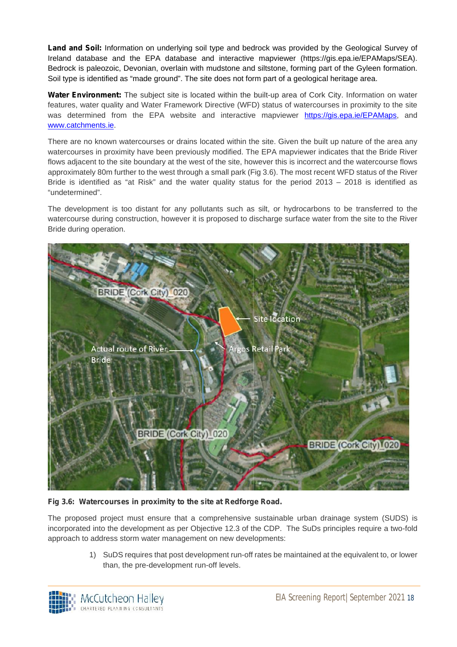**Land and Soil:** Information on underlying soil type and bedrock was provided by the Geological Survey of Ireland database and the EPA database and interactive mapviewer (https://gis.epa.ie/EPAMaps/SEA). Bedrock is paleozoic, Devonian, overlain with mudstone and siltstone, forming part of the Gyleen formation. Soil type is identified as "made ground". The site does not form part of a geological heritage area.

**Water Environment:** The subject site is located within the built-up area of Cork City. Information on water features, water quality and Water Framework Directive (WFD) status of watercourses in proximity to the site was determined from the EPA website and interactive mapviewer https://gis.epa.ie/EPAMaps, and www.catchments.ie.

There are no known watercourses or drains located within the site. Given the built up nature of the area any watercourses in proximity have been previously modified. The EPA mapviewer indicates that the Bride River flows adjacent to the site boundary at the west of the site, however this is incorrect and the watercourse flows approximately 80m further to the west through a small park (Fig 3.6). The most recent WFD status of the River Bride is identified as "at Risk" and the water quality status for the period 2013 – 2018 is identified as "undetermined".

The development is too distant for any pollutants such as silt, or hydrocarbons to be transferred to the watercourse during construction, however it is proposed to discharge surface water from the site to the River Bride during operation.



#### Fig 3.6: Watercourses in proximity to the site at Redforge Road.

The proposed project must ensure that a comprehensive sustainable urban drainage system (SUDS) is incorporated into the development as per Objective 12.3 of the CDP. The SuDs principles require a two-fold approach to address storm water management on new developments:

> 1) SuDS requires that post development run-off rates be maintained at the equivalent to, or lower than, the pre-development run-off levels.

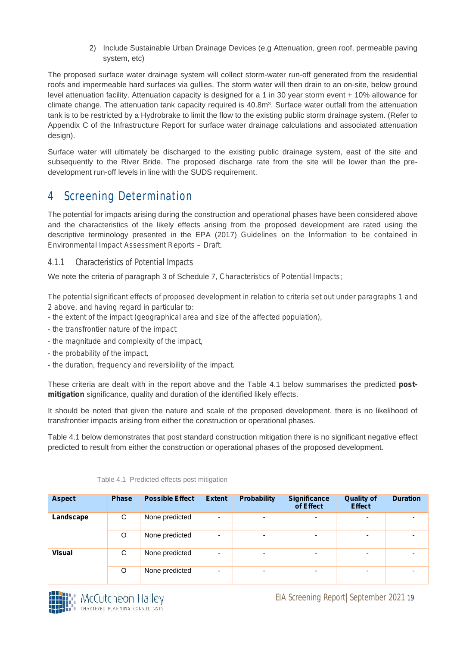2) Include Sustainable Urban Drainage Devices (e.g Attenuation, green roof, permeable paving system, etc)

The proposed surface water drainage system will collect storm-water run-off generated from the residential roofs and impermeable hard surfaces via gullies. The storm water will then drain to an on-site, below ground level attenuation facility. Attenuation capacity is designed for a 1 in 30 year storm event + 10% allowance for climate change. The attenuation tank capacity required is 40.8m<sup>3</sup>. Surface water outfall from the attenuation tank is to be restricted by a Hydrobrake to limit the flow to the existing public storm drainage system. (Refer to Appendix C of the Infrastructure Report for surface water drainage calculations and associated attenuation design).

Surface water will ultimately be discharged to the existing public drainage system, east of the site and subsequently to the River Bride. The proposed discharge rate from the site will be lower than the pre development run-off levels in line with the SUDS requirement.

### 4 Screening Determination

The potential for impacts arising during the construction and operational phases have been considered above and the characteristics of the likely effects arising from the proposed development are rated using the descriptive terminology presented in the EPA (2017) *Guidelines on the Information to be contained in Environmental Impact Assessment Reports – Draft.*

4.1.1 Characteristics of Potential Impacts

We note the criteria of paragraph 3 of Schedule 7, *Characteristics of Potential Impacts*;

*The potential significant effects of proposed development in relation to criteria set out under paragraphs 1 and 2 above, and having regard in particular to:*

- *- the extent of the impact (geographical area and size of the affected population),*
- *- the transfrontier nature of the impact*
- *- the magnitude and complexity of the impact,*
- *- the probability of the impact,*
- *- the duration, frequency and reversibility of the impact.*

These criteria are dealt with in the report above and the Table 4.1 below summarises the predicted **post mitigation** significance, quality and duration of the identified likely effects.

It should be noted that given the nature and scale of the proposed development, there is no likelihood of transfrontier impacts arising from either the construction or operational phases.

Table 4.1 below demonstrates that post standard construction mitigation there is no significant negative effect predicted to result from either the construction or operational phases of the proposed development.

| <b>Aspect</b> | <b>Phase</b> | <b>Possible Effect</b> | <b>Extent</b>            | <b>Probability</b>       | <b>Significance</b><br>of Effect | <b>Quality of</b><br><b>Effect</b> | <b>Duration</b>          |
|---------------|--------------|------------------------|--------------------------|--------------------------|----------------------------------|------------------------------------|--------------------------|
| Landscape     | C            | None predicted         | ۰.                       | $\overline{\phantom{0}}$ | $\overline{\phantom{0}}$         | ۰                                  |                          |
|               | O            | None predicted         | $\overline{\phantom{0}}$ | $\overline{\phantom{0}}$ | $\overline{\phantom{0}}$         | $\overline{\phantom{0}}$           | $\overline{\phantom{0}}$ |
| <b>Visual</b> | C            | None predicted         |                          | -                        |                                  |                                    |                          |
|               | O            | None predicted         |                          | $\overline{\phantom{0}}$ | $\overline{\phantom{a}}$         |                                    |                          |

Table 4.1 Predicted effects post mitigation

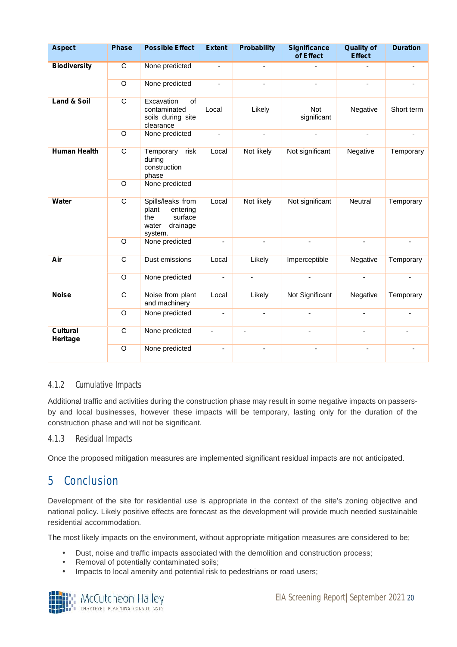| <b>Aspect</b>               | <b>Phase</b>   | <b>Possible Effect</b>                                                                   | <b>Extent</b>  | <b>Probability</b> | <b>Significance</b><br>of Effect | <b>Quality of</b><br><b>Effect</b> | <b>Duration</b> |
|-----------------------------|----------------|------------------------------------------------------------------------------------------|----------------|--------------------|----------------------------------|------------------------------------|-----------------|
| <b>Biodiversity</b>         | $\overline{C}$ | None predicted                                                                           | $\blacksquare$ |                    |                                  |                                    |                 |
|                             | O              | None predicted                                                                           | $\blacksquare$ |                    |                                  | $\overline{a}$                     |                 |
| <b>Land &amp; Soil</b>      | $\mathbf C$    | Excavation<br>of<br>contaminated<br>soils during site<br>clearance                       | Local          | Likely             | Not<br>significant               | Negative                           | Short term      |
|                             | O              | None predicted                                                                           | $\blacksquare$ | $\blacksquare$     | $\blacksquare$                   | $\blacksquare$                     | $\blacksquare$  |
| <b>Human Health</b>         | $\overline{C}$ | Temporary<br>risk<br>during<br>construction<br>phase                                     | Local          | Not likely         | Not significant                  | Negative                           | Temporary       |
|                             | O              | None predicted                                                                           |                |                    |                                  |                                    |                 |
| Water                       | $\mathsf{C}$   | Spills/leaks from<br>plant<br>entering<br>surface<br>the<br>drainage<br>water<br>system. | Local          | Not likely         | Not significant                  | Neutral                            | Temporary       |
|                             | O              | None predicted                                                                           | $\blacksquare$ |                    |                                  | $\blacksquare$                     |                 |
| Air                         | C              | Dust emissions                                                                           | Local          | Likely             | Imperceptible                    | Negative                           | Temporary       |
|                             | O              | None predicted                                                                           | $\blacksquare$ | L.                 | $\overline{a}$                   | $\sim$                             | $\overline{a}$  |
| <b>Noise</b>                | $\mathsf{C}$   | Noise from plant<br>and machinery                                                        | Local          | Likely             | Not Significant                  | Negative                           | Temporary       |
|                             | O              | None predicted                                                                           | $\blacksquare$ | $\blacksquare$     | ä,                               | ٠                                  | ÷.              |
| <b>Cultural</b><br>Heritage | $\mathsf{C}$   | None predicted                                                                           | ä,             | $\blacksquare$     |                                  | ä,                                 | $\overline{a}$  |
|                             | O              | None predicted                                                                           | $\overline{a}$ |                    |                                  |                                    |                 |

#### 4.1.2 Cumulative Impacts

Additional traffic and activities during the construction phase may result in some negative impacts on passers by and local businesses, however these impacts will be temporary, lasting only for the duration of the construction phase and will not be significant.

#### 4.1.3 Residual Impacts

Once the proposed mitigation measures are implemented significant residual impacts are not anticipated.

### 5 Conclusion

Development of the site for residential use is appropriate in the context of the site's zoning objective and national policy. Likely positive effects are forecast as the development will provide much needed sustainable residential accommodation.

The most likely impacts on the environment, without appropriate mitigation measures are considered to be;

- Dust, noise and traffic impacts associated with the demolition and construction process;
- Removal of potentially contaminated soils;<br>
I Impacts to local amenity and potential risk
- Impacts to local amenity and potential risk to pedestrians or road users;